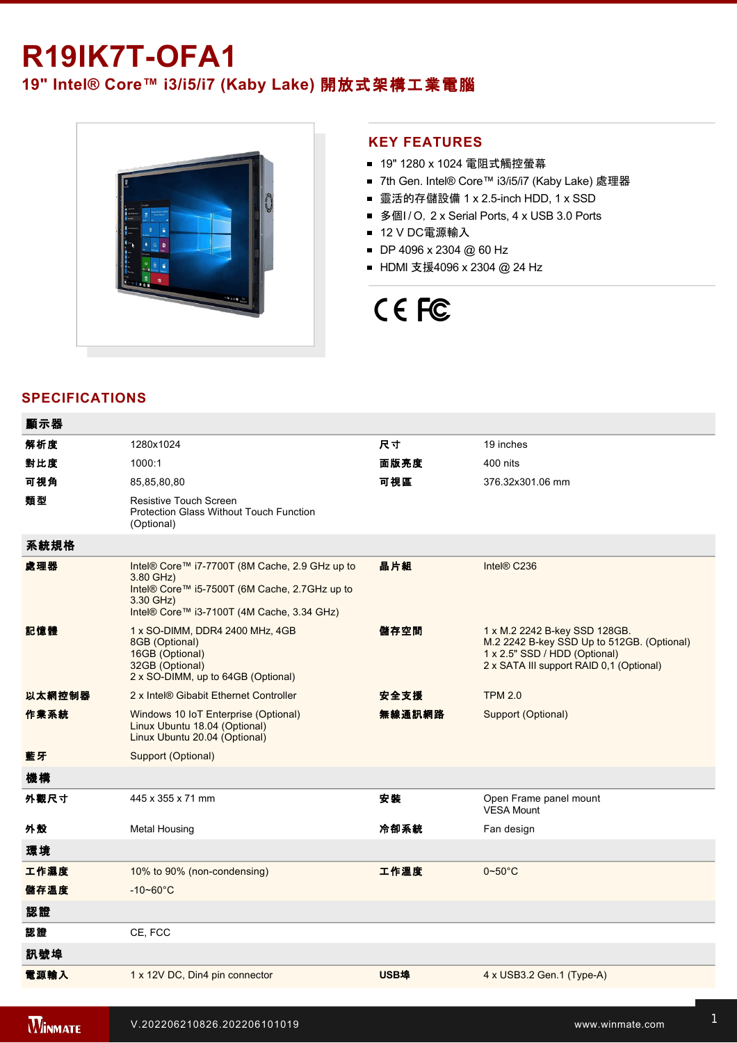# **R19IK7T-OFA1**

**19" Intel® Core™ i3/i5/i7 (Kaby Lake)** 開放式架構工業電腦



## **KEY FEATURES**

- 19" 1280 x 1024 電阻式觸控螢幕
- 7th Gen. Intel® Core™ i3/i5/i7 (Kaby Lake) 處理器
- 靈活的存儲設備 1 x 2.5-inch HDD, 1 x SSD
- 多個I / O, 2 x Serial Ports, 4 x USB 3.0 Ports
- 12 V DC電源輸入
- DP 4096 x 2304 @ 60 Hz
- HDMI 支援4096 x 2304 @ 24 Hz

# CE FC

# **SPECIFICATIONS**

| 顯示器    |                                                                                                                                                                         |        |                                                                                                                                                          |
|--------|-------------------------------------------------------------------------------------------------------------------------------------------------------------------------|--------|----------------------------------------------------------------------------------------------------------------------------------------------------------|
| 解析度    | 1280x1024                                                                                                                                                               | 尺寸     | 19 inches                                                                                                                                                |
| 對比度    | 1000:1                                                                                                                                                                  | 面版亮度   | 400 nits                                                                                                                                                 |
| 可視角    | 85,85,80,80                                                                                                                                                             | 可視區    | 376.32x301.06 mm                                                                                                                                         |
| 類型     | <b>Resistive Touch Screen</b><br><b>Protection Glass Without Touch Function</b><br>(Optional)                                                                           |        |                                                                                                                                                          |
| 系統規格   |                                                                                                                                                                         |        |                                                                                                                                                          |
| 處理器    | Intel® Core™ i7-7700T (8M Cache, 2.9 GHz up to<br>3.80 GHz)<br>Intel® Core™ i5-7500T (6M Cache, 2.7GHz up to<br>3.30 GHz)<br>Intel® Core™ i3-7100T (4M Cache, 3.34 GHz) | 晶片組    | Intel® C236                                                                                                                                              |
| 記憶體    | 1 x SO-DIMM, DDR4 2400 MHz, 4GB<br>8GB (Optional)<br>16GB (Optional)<br>32GB (Optional)<br>2 x SO-DIMM, up to 64GB (Optional)                                           | 儲存空間   | 1 x M.2 2242 B-key SSD 128GB.<br>M.2 2242 B-key SSD Up to 512GB. (Optional)<br>1 x 2.5" SSD / HDD (Optional)<br>2 x SATA III support RAID 0,1 (Optional) |
| 以太網控制器 | 2 x Intel® Gibabit Ethernet Controller                                                                                                                                  | 安全支援   | <b>TPM 2.0</b>                                                                                                                                           |
| 作業系統   | Windows 10 IoT Enterprise (Optional)<br>Linux Ubuntu 18.04 (Optional)<br>Linux Ubuntu 20.04 (Optional)                                                                  | 無線通訊網路 | Support (Optional)                                                                                                                                       |
| 藍牙     | Support (Optional)                                                                                                                                                      |        |                                                                                                                                                          |
| 機構     |                                                                                                                                                                         |        |                                                                                                                                                          |
| 外觀尺寸   | 445 x 355 x 71 mm                                                                                                                                                       | 安装     | Open Frame panel mount<br><b>VESA Mount</b>                                                                                                              |
| 外殼     | <b>Metal Housing</b>                                                                                                                                                    | 冷卻系統   | Fan design                                                                                                                                               |
| 環境     |                                                                                                                                                                         |        |                                                                                                                                                          |
| 工作濕度   | 10% to 90% (non-condensing)                                                                                                                                             | 工作溫度   | $0 - 50$ °C                                                                                                                                              |
| 儲存溫度   | $-10 - 60^{\circ}$ C                                                                                                                                                    |        |                                                                                                                                                          |
| 認證     |                                                                                                                                                                         |        |                                                                                                                                                          |
| 認證     | CE, FCC                                                                                                                                                                 |        |                                                                                                                                                          |
| 訊號埠    |                                                                                                                                                                         |        |                                                                                                                                                          |
| 電源輸入   | 1 x 12V DC, Din4 pin connector                                                                                                                                          | USB埠   | 4 x USB3.2 Gen.1 (Type-A)                                                                                                                                |

<u>1 x RS23</u>

1 x HDMI 1.4 (Optional)